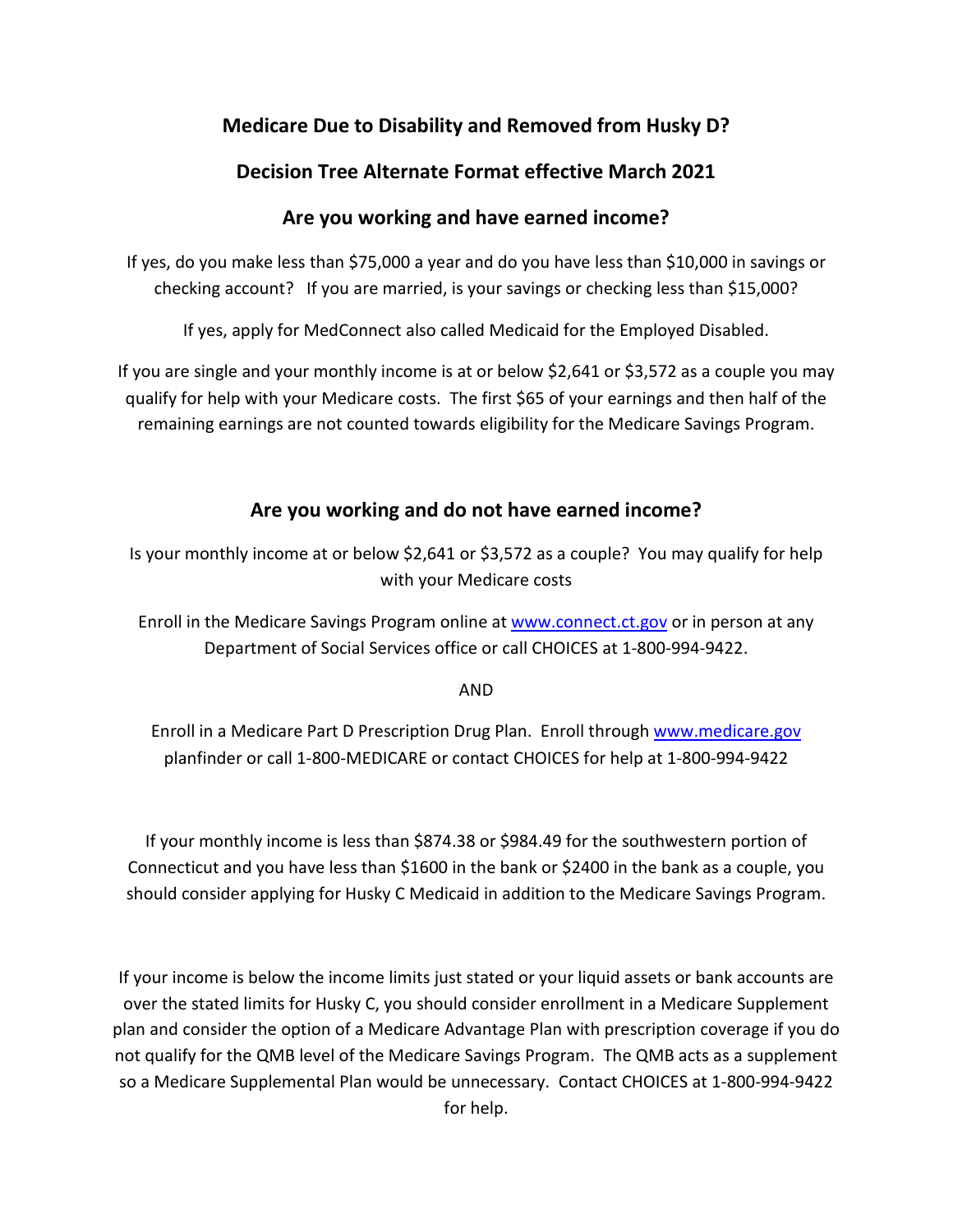## **Medicare Due to Disability and Removed from Husky D?**

## **Decision Tree Alternate Format effective March 2021**

## **Are you working and have earned income?**

If yes, do you make less than \$75,000 a year and do you have less than \$10,000 in savings or checking account? If you are married, is your savings or checking less than \$15,000?

If yes, apply for MedConnect also called Medicaid for the Employed Disabled.

If you are single and your monthly income is at or below \$2,641 or \$3,572 as a couple you may qualify for help with your Medicare costs. The first \$65 of your earnings and then half of the remaining earnings are not counted towards eligibility for the Medicare Savings Program.

## **Are you working and do not have earned income?**

Is your monthly income at or below \$2,641 or \$3,572 as a couple? You may qualify for help with your Medicare costs

Enroll in the Medicare Savings Program online at [www.connect.ct.gov](http://www.connect.ct.gov/) or in person at any Department of Social Services office or call CHOICES at 1-800-994-9422.

AND

Enroll in a Medicare Part D Prescription Drug Plan. Enroll through [www.medicare.gov](http://www.medicare.gov/) planfinder or call 1-800-MEDICARE or contact CHOICES for help at 1-800-994-9422

If your monthly income is less than \$874.38 or \$984.49 for the southwestern portion of Connecticut and you have less than \$1600 in the bank or \$2400 in the bank as a couple, you should consider applying for Husky C Medicaid in addition to the Medicare Savings Program.

If your income is below the income limits just stated or your liquid assets or bank accounts are over the stated limits for Husky C, you should consider enrollment in a Medicare Supplement plan and consider the option of a Medicare Advantage Plan with prescription coverage if you do not qualify for the QMB level of the Medicare Savings Program. The QMB acts as a supplement so a Medicare Supplemental Plan would be unnecessary. Contact CHOICES at 1-800-994-9422 for help.